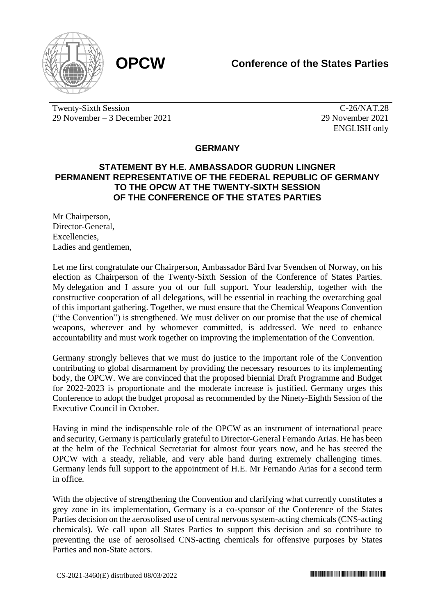

Twenty-Sixth Session 29 November – 3 December 2021

C-26/NAT.28 29 November 2021 ENGLISH only

## **GERMANY**

## **STATEMENT BY H.E. AMBASSADOR GUDRUN LINGNER PERMANENT REPRESENTATIVE OF THE FEDERAL REPUBLIC OF GERMANY TO THE OPCW AT THE TWENTY-SIXTH SESSION OF THE CONFERENCE OF THE STATES PARTIES**

Mr Chairperson, Director-General, Excellencies, Ladies and gentlemen,

Let me first congratulate our Chairperson, Ambassador Bård Ivar Svendsen of Norway, on his election as Chairperson of the Twenty-Sixth Session of the Conference of States Parties. My delegation and I assure you of our full support. Your leadership, together with the constructive cooperation of all delegations, will be essential in reaching the overarching goal of this important gathering. Together, we must ensure that the Chemical Weapons Convention ("the Convention") is strengthened. We must deliver on our promise that the use of chemical weapons, wherever and by whomever committed, is addressed. We need to enhance accountability and must work together on improving the implementation of the Convention.

Germany strongly believes that we must do justice to the important role of the Convention contributing to global disarmament by providing the necessary resources to its implementing body, the OPCW. We are convinced that the proposed biennial Draft Programme and Budget for 2022-2023 is proportionate and the moderate increase is justified. Germany urges this Conference to adopt the budget proposal as recommended by the Ninety-Eighth Session of the Executive Council in October.

Having in mind the indispensable role of the OPCW as an instrument of international peace and security, Germany is particularly grateful to Director-General Fernando Arias. He has been at the helm of the Technical Secretariat for almost four years now, and he has steered the OPCW with a steady, reliable, and very able hand during extremely challenging times. Germany lends full support to the appointment of H.E. Mr Fernando Arias for a second term in office.

With the objective of strengthening the Convention and clarifying what currently constitutes a grey zone in its implementation, Germany is a co-sponsor of the Conference of the States Parties decision on the aerosolised use of central nervous system-acting chemicals (CNS-acting chemicals). We call upon all States Parties to support this decision and so contribute to preventing the use of aerosolised CNS-acting chemicals for offensive purposes by States Parties and non-State actors.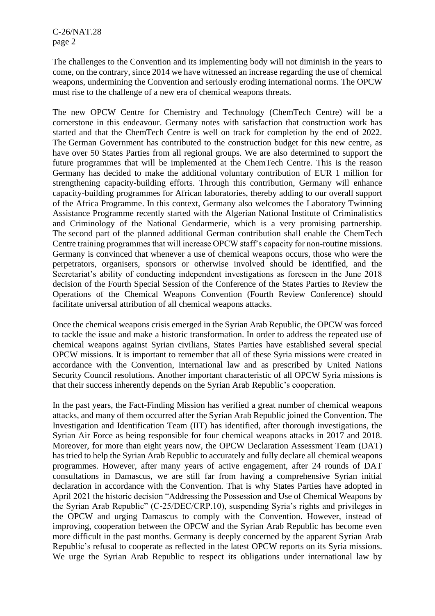The challenges to the Convention and its implementing body will not diminish in the years to come, on the contrary, since 2014 we have witnessed an increase regarding the use of chemical weapons, undermining the Convention and seriously eroding international norms. The OPCW must rise to the challenge of a new era of chemical weapons threats.

The new OPCW Centre for Chemistry and Technology (ChemTech Centre) will be a cornerstone in this endeavour. Germany notes with satisfaction that construction work has started and that the ChemTech Centre is well on track for completion by the end of 2022. The German Government has contributed to the construction budget for this new centre, as have over 50 States Parties from all regional groups. We are also determined to support the future programmes that will be implemented at the ChemTech Centre. This is the reason Germany has decided to make the additional voluntary contribution of EUR 1 million for strengthening capacity-building efforts. Through this contribution, Germany will enhance capacity-building programmes for African laboratories, thereby adding to our overall support of the Africa Programme. In this context, Germany also welcomes the Laboratory Twinning Assistance Programme recently started with the Algerian National Institute of Criminalistics and Criminology of the National Gendarmerie, which is a very promising partnership. The second part of the planned additional German contribution shall enable the ChemTech Centre training programmes that will increase OPCW staff's capacity for non-routine missions. Germany is convinced that whenever a use of chemical weapons occurs, those who were the perpetrators, organisers, sponsors or otherwise involved should be identified, and the Secretariat's ability of conducting independent investigations as foreseen in the June 2018 decision of the Fourth Special Session of the Conference of the States Parties to Review the Operations of the Chemical Weapons Convention (Fourth Review Conference) should facilitate universal attribution of all chemical weapons attacks.

Once the chemical weapons crisis emerged in the Syrian Arab Republic, the OPCW was forced to tackle the issue and make a historic transformation. In order to address the repeated use of chemical weapons against Syrian civilians, States Parties have established several special OPCW missions. It is important to remember that all of these Syria missions were created in accordance with the Convention, international law and as prescribed by United Nations Security Council resolutions. Another important characteristic of all OPCW Syria missions is that their success inherently depends on the Syrian Arab Republic's cooperation.

In the past years, the Fact-Finding Mission has verified a great number of chemical weapons attacks, and many of them occurred after the Syrian Arab Republic joined the Convention. The Investigation and Identification Team (IIT) has identified, after thorough investigations, the Syrian Air Force as being responsible for four chemical weapons attacks in 2017 and 2018. Moreover, for more than eight years now, the OPCW Declaration Assessment Team (DAT) has tried to help the Syrian Arab Republic to accurately and fully declare all chemical weapons programmes. However, after many years of active engagement, after 24 rounds of DAT consultations in Damascus, we are still far from having a comprehensive Syrian initial declaration in accordance with the Convention. That is why States Parties have adopted in April 2021 the historic decision "Addressing the Possession and Use of Chemical Weapons by the Syrian Arab Republic" (C-25/DEC/CRP.10), suspending Syria's rights and privileges in the OPCW and urging Damascus to comply with the Convention. However, instead of improving, cooperation between the OPCW and the Syrian Arab Republic has become even more difficult in the past months. Germany is deeply concerned by the apparent Syrian Arab Republic's refusal to cooperate as reflected in the latest OPCW reports on its Syria missions. We urge the Syrian Arab Republic to respect its obligations under international law by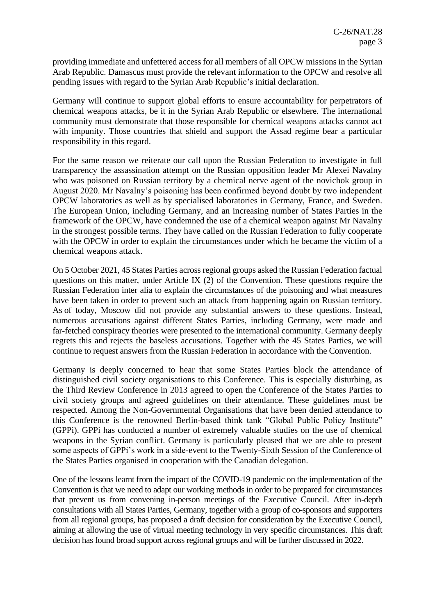providing immediate and unfettered access for all members of all OPCW missions in the Syrian Arab Republic. Damascus must provide the relevant information to the OPCW and resolve all pending issues with regard to the Syrian Arab Republic's initial declaration.

Germany will continue to support global efforts to ensure accountability for perpetrators of chemical weapons attacks, be it in the Syrian Arab Republic or elsewhere. The international community must demonstrate that those responsible for chemical weapons attacks cannot act with impunity. Those countries that shield and support the Assad regime bear a particular responsibility in this regard.

For the same reason we reiterate our call upon the Russian Federation to investigate in full transparency the assassination attempt on the Russian opposition leader Mr Alexei Navalny who was poisoned on Russian territory by a chemical nerve agent of the novichok group in August 2020. Mr Navalny's poisoning has been confirmed beyond doubt by two independent OPCW laboratories as well as by specialised laboratories in Germany, France, and Sweden. The European Union, including Germany, and an increasing number of States Parties in the framework of the OPCW, have condemned the use of a chemical weapon against Mr Navalny in the strongest possible terms. They have called on the Russian Federation to fully cooperate with the OPCW in order to explain the circumstances under which he became the victim of a chemical weapons attack.

On 5 October 2021, 45 States Parties across regional groups asked the Russian Federation factual questions on this matter, under Article IX (2) of the Convention. These questions require the Russian Federation inter alia to explain the circumstances of the poisoning and what measures have been taken in order to prevent such an attack from happening again on Russian territory. As of today, Moscow did not provide any substantial answers to these questions. Instead, numerous accusations against different States Parties, including Germany, were made and far-fetched conspiracy theories were presented to the international community. Germany deeply regrets this and rejects the baseless accusations. Together with the 45 States Parties, we will continue to request answers from the Russian Federation in accordance with the Convention.

Germany is deeply concerned to hear that some States Parties block the attendance of distinguished civil society organisations to this Conference. This is especially disturbing, as the Third Review Conference in 2013 agreed to open the Conference of the States Parties to civil society groups and agreed guidelines on their attendance. These guidelines must be respected. Among the Non-Governmental Organisations that have been denied attendance to this Conference is the renowned Berlin-based think tank "Global Public Policy Institute" (GPPi). GPPi has conducted a number of extremely valuable studies on the use of chemical weapons in the Syrian conflict. Germany is particularly pleased that we are able to present some aspects of GPPi's work in a side-event to the Twenty-Sixth Session of the Conference of the States Parties organised in cooperation with the Canadian delegation.

One of the lessons learnt from the impact of the COVID-19 pandemic on the implementation of the Convention is that we need to adapt our working methods in order to be prepared for circumstances that prevent us from convening in-person meetings of the Executive Council. After in-depth consultations with all States Parties, Germany, together with a group of co-sponsors and supporters from all regional groups, has proposed a draft decision for consideration by the Executive Council, aiming at allowing the use of virtual meeting technology in very specific circumstances. This draft decision has found broad support across regional groups and will be further discussed in 2022.